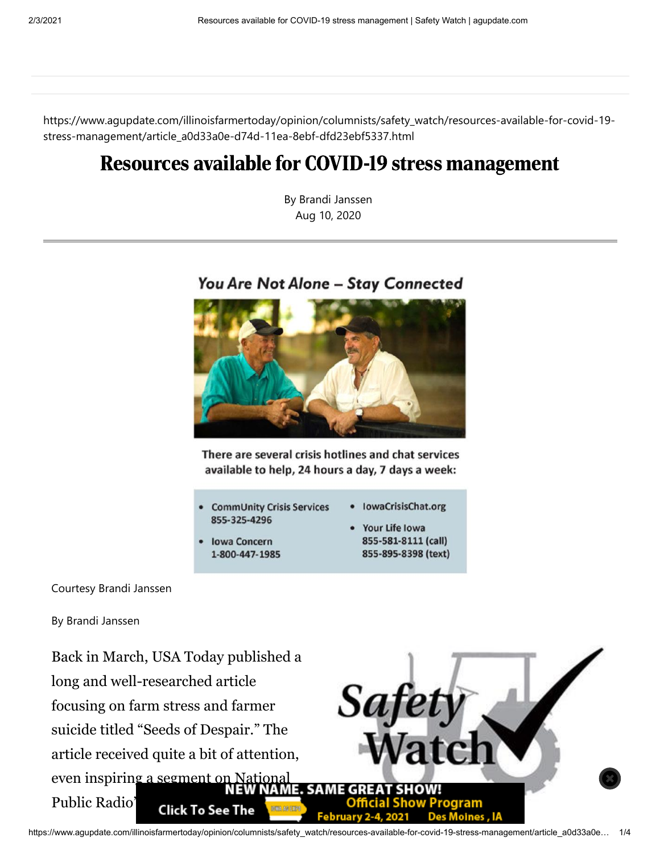https://www.agupdate.com/illinoisfarmertoday/opinion/columnists/safety\_watch/resources-available-for-covid-19 stress-management/article\_a0d33a0e-d74d-11ea-8ebf-dfd23ebf5337.html

## Resources available for COVID-19 stress management

By Brandi Janssen Aug 10, 2020

## You Are Not Alone - Stay Connected



There are several crisis hotlines and chat services available to help, 24 hours a day, 7 days a week:

- **IowaCrisisChat.org CommUnity Crisis Services** 855-325-4296
- **Iowa Concern** 1-800-447-1985
- Your Life Iowa 855-581-8111 (call) 855-895-8398 (text)

## Courtesy Brandi Janssen

By Brandi Janssen

Back in March, USA Today published a long and well-researched article focusing on farm stress and farmer suicide titled "Seeds of Despair." The article received quite a bit of attention, even inspiring a segment on National<br>NEW NAME. SAME GREAT SHOWL Public Radio' Click To See The

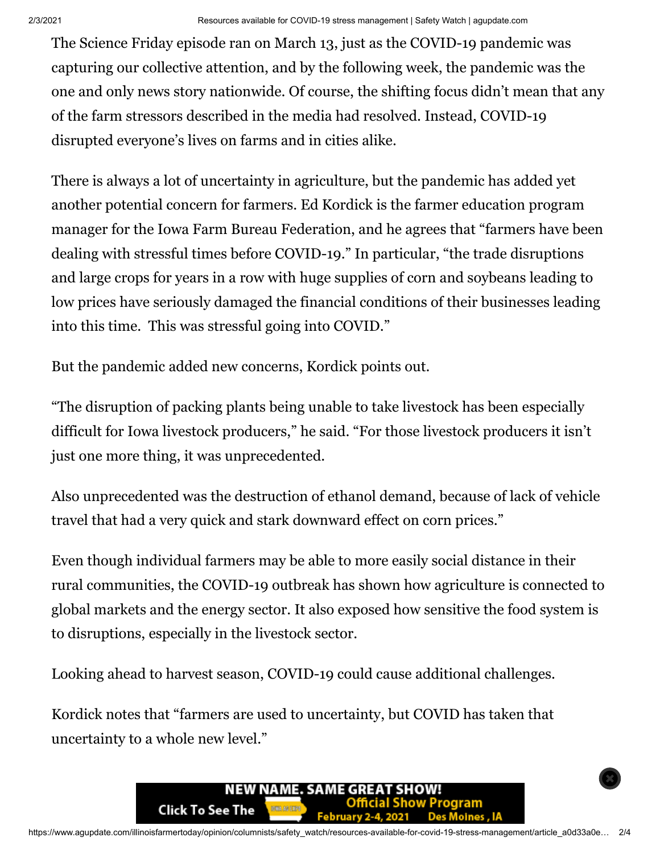The Science Friday episode ran on March 13, just as the COVID-19 pandemic was capturing our collective attention, and by the following week, the pandemic was the one and only news story nationwide. Of course, the shifting focus didn't mean that any of the farm stressors described in the media had resolved. Instead, COVID-19 disrupted everyone's lives on farms and in cities alike.

There is always a lot of uncertainty in agriculture, but the pandemic has added yet another potential concern for farmers. Ed Kordick is the farmer education program manager for the Iowa Farm Bureau Federation, and he agrees that "farmers have been dealing with stressful times before COVID-19." In particular, "the trade disruptions and large crops for years in a row with huge supplies of corn and soybeans leading to low prices have seriously damaged the financial conditions of their businesses leading into this time. This was stressful going into COVID."

But the pandemic added new concerns, Kordick points out.

"The disruption of packing plants being unable to take livestock has been especially difficult for Iowa livestock producers," he said. "For those livestock producers it isn't just one more thing, it was unprecedented.

Also unprecedented was the destruction of ethanol demand, because of lack of vehicle travel that had a very quick and stark downward effect on corn prices."

Even though individual farmers may be able to more easily social distance in their rural communities, the COVID-19 outbreak has shown how agriculture is connected to global markets and the energy sector. It also exposed how sensitive the food system is to disruptions, especially in the livestock sector.

Looking ahead to harvest season, COVID-19 could cause additional challenges.

Kordick notes that "farmers are used to uncertainty, but COVID has taken that uncertainty to a whole new level."

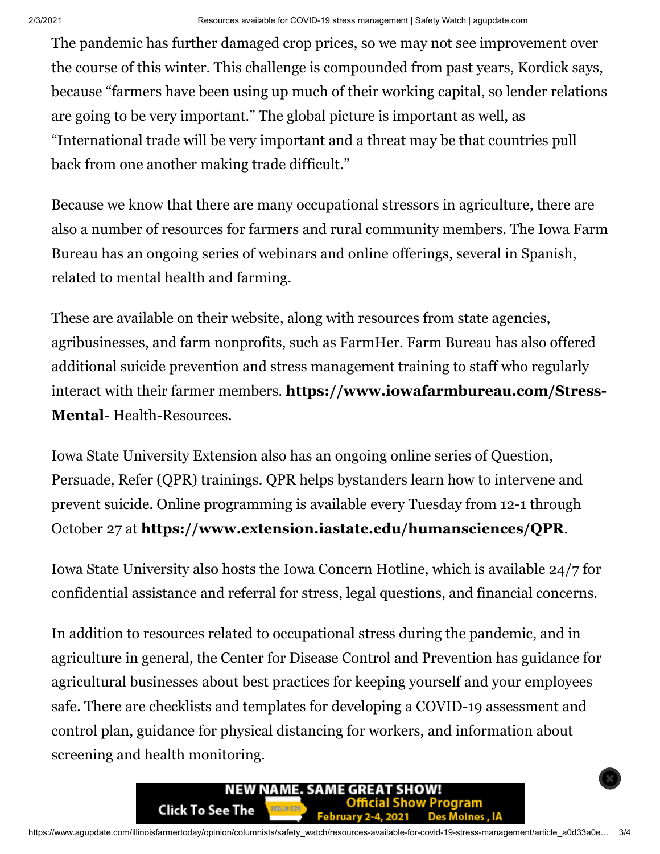The pandemic has further damaged crop prices, so we may not see improvement over the course of this winter. This challenge is compounded from past years, Kordick says, because "farmers have been using up much of their working capital, so lender relations are going to be very important." The global picture is important as well, as "International trade will be very important and a threat may be that countries pull back from one another making trade difficult."

Because we know that there are many occupational stressors in agriculture, there are also a number of resources for farmers and rural community members. The Iowa Farm Bureau has an ongoing series of webinars and online offerings, several in Spanish, related to mental health and farming.

These are available on their website, along with resources from state agencies, agribusinesses, and farm nonprofits, such as FarmHer. Farm Bureau has also offered additional suicide prevention and stress management training to staff who regularly interact with their farmer members. **[https://www.iowafarmbureau.com/Stress-](https://www.iowafarmbureau.com/Stress-Mental)Mental**- Health-Resources.

Iowa State University Extension also has an ongoing online series of Question, Persuade, Refer (QPR) trainings. QPR helps bystanders learn how to intervene and prevent suicide. Online programming is available every Tuesday from 12-1 through October 27 at **<https://www.extension.iastate.edu/humansciences/QPR>**.

Iowa State University also hosts the Iowa Concern Hotline, which is available 24/7 for confidential assistance and referral for stress, legal questions, and financial concerns.

In addition to resources related to occupational stress during the pandemic, and in agriculture in general, the Center for Disease Control and Prevention has guidance for agricultural businesses about best practices for keeping yourself and your employees safe. There are checklists and templates for developing a COVID-19 assessment and control plan, guidance for physical distancing for workers, and information about screening and health monitoring.